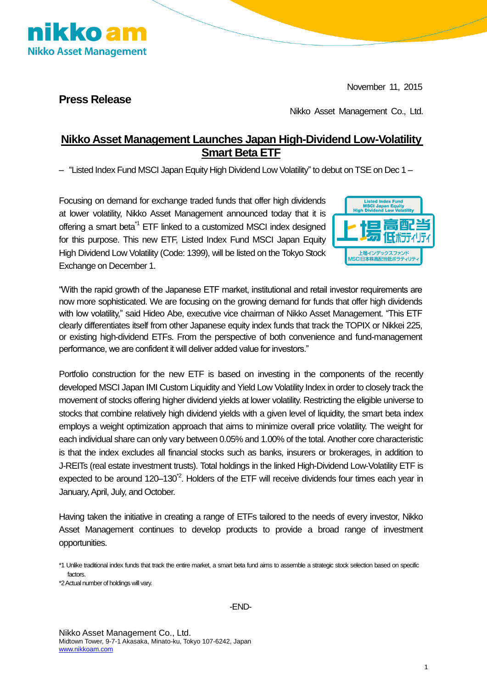November 11, 2015



**Press Release**

Nikko Asset Management Co., Ltd.

## **Nikko Asset Management Launches Japan High-Dividend Low-Volatility Smart Beta ETF**

– "Listed Index Fund MSCI Japan Equity High Dividend Low Volatility" to debut on TSE on Dec 1 –

Focusing on demand for exchange traded funds that offer high dividends at lower volatility, Nikko Asset Management announced today that it is offering a smart beta<sup>\*1</sup> ETF linked to a customized MSCI index designed for this purpose. This new ETF, Listed Index Fund MSCI Japan Equity High Dividend Low Volatility (Code: 1399), will be listed on the Tokyo Stock Exchange on December 1.



"With the rapid growth of the Japanese ETF market, institutional and retail investor requirements are now more sophisticated. We are focusing on the growing demand for funds that offer high dividends with low volatility," said Hideo Abe, executive vice chairman of Nikko Asset Management. "This ETF clearly differentiates itself from other Japanese equity index funds that track the TOPIX or Nikkei 225, or existing high-dividend ETFs. From the perspective of both convenience and fund-management performance, we are confident it will deliver added value for investors."

Portfolio construction for the new ETF is based on investing in the components of the recently developed MSCI Japan IMI Custom Liquidity and Yield Low Volatility Index in order to closely track the movement of stocks offering higher dividend yields at lower volatility. Restricting the eligible universe to stocks that combine relatively high dividend yields with a given level of liquidity, the smart beta index employs a weight optimization approach that aims to minimize overall price volatility. The weight for each individual share can only vary between 0.05% and 1.00% of the total. Another core characteristic is that the index excludes all financial stocks such as banks, insurers or brokerages, in addition to J-REITs (real estate investment trusts). Total holdings in the linked High-Dividend Low-Volatility ETF is expected to be around 120-130<sup>\*2</sup>. Holders of the ETF will receive dividends four times each year in January, April, July, and October.

Having taken the initiative in creating a range of ETFs tailored to the needs of every investor, Nikko Asset Management continues to develop products to provide a broad range of investment opportunities.

\*2 Actual number of holdings will vary.

<sup>\*1</sup> Unlike traditional index funds that track the entire market, a smart beta fund aims to assemble a strategic stock selection based on specific factors.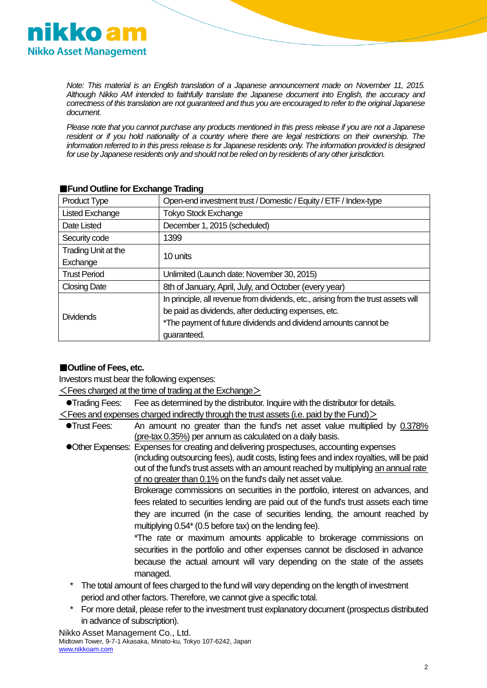

*Note: This material is an English translation of a Japanese announcement made on November 11, 2015. Although Nikko AM intended to faithfully translate the Japanese document into English, the accuracy and correctness of this translation are not guaranteed and thus you are encouraged to refer to the original Japanese document.*

*Please note that you cannot purchase any products mentioned in this press release if you are not a Japanese*  resident or if you hold nationality of a country where there are legal restrictions on their ownership. The *information referred to in this press release is for Japanese residents only. The information provided is designed for use by Japanese residents only and should not be relied on by residents of any other jurisdiction.*

| <b>Product Type</b>    | Open-end investment trust / Domestic / Equity / ETF / Index-type                   |
|------------------------|------------------------------------------------------------------------------------|
| <b>Listed Exchange</b> | <b>Tokyo Stock Exchange</b>                                                        |
| Date Listed            | December 1, 2015 (scheduled)                                                       |
| Security code          | 1399                                                                               |
| Trading Unit at the    | 10 units                                                                           |
| Exchange               |                                                                                    |
| <b>Trust Period</b>    | Unlimited (Launch date: November 30, 2015)                                         |
| <b>Closing Date</b>    | 8th of January, April, July, and October (every year)                              |
| <b>Dividends</b>       | In principle, all revenue from dividends, etc., arising from the trust assets will |
|                        | be paid as dividends, after deducting expenses, etc.                               |
|                        | *The payment of future dividends and dividend amounts cannot be                    |
|                        | guaranteed.                                                                        |

#### ■**Fund Outline for Exchange Trading**

#### ■**Outline of Fees, etc.**

Investors must bear the following expenses:

 $\leq$  Fees charged at the time of trading at the Exchange $>$ 

Trading Fees: Fee as determined by the distributor. Inquire with the distributor for details.

 $\leq$  Fees and expenses charged indirectly through the trust assets (i.e. paid by the Fund) $>$ 

- Trust Fees: An amount no greater than the fund's net asset value multiplied by 0.378% (pre-tax 0.35%) per annum as calculated on a daily basis.
- Other Expenses: Expenses for creating and delivering prospectuses, accounting expenses (including outsourcing fees), audit costs, listing fees and index royalties, will be paid out of the fund's trust assets with an amount reached by multiplying an annual rate of no greater than 0.1% on the fund's daily net asset value.

Brokerage commissions on securities in the portfolio, interest on advances, and fees related to securities lending are paid out of the fund's trust assets each time they are incurred (in the case of securities lending, the amount reached by multiplying 0.54\*(0.5 before tax) on the lending fee).

\*The rate or maximum amounts applicable to brokerage commissions on securities in the portfolio and other expenses cannot be disclosed in advance because the actual amount will vary depending on the state of the assets managed.

- The total amount of fees charged to the fund will vary depending on the length of investment period and other factors. Therefore, we cannot give a specific total.
- \* For more detail, please refer to the investment trust explanatory document (prospectus distributed in advance of subscription).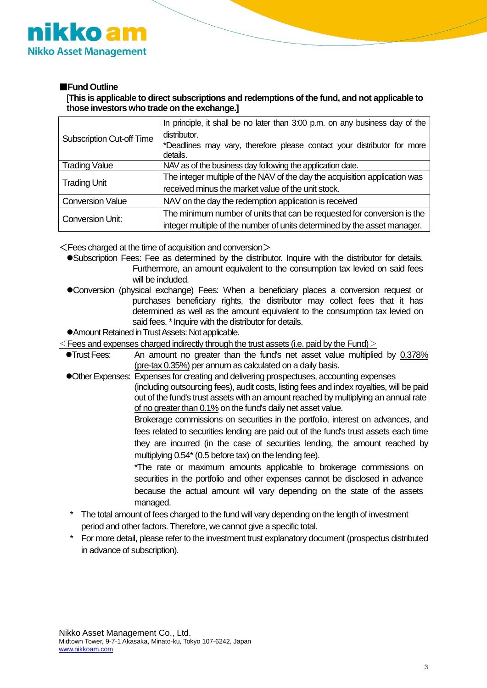

#### ■**Fund Outline**

[**This is applicable to direct subscriptions and redemptions of the fund, and not applicable to those investors who trade on the exchange.]**

| <b>Subscription Cut-off Time</b> | In principle, it shall be no later than 3:00 p.m. on any business day of the |
|----------------------------------|------------------------------------------------------------------------------|
|                                  | distributor.                                                                 |
|                                  | *Deadlines may vary, therefore please contact your distributor for more      |
|                                  | details.                                                                     |
| <b>Trading Value</b>             | NAV as of the business day following the application date.                   |
| <b>Trading Unit</b>              | The integer multiple of the NAV of the day the acquisition application was   |
|                                  | received minus the market value of the unit stock.                           |
| <b>Conversion Value</b>          | NAV on the day the redemption application is received                        |
| <b>Conversion Unit:</b>          | The minimum number of units that can be requested for conversion is the      |
|                                  | integer multiple of the number of units determined by the asset manager.     |

 $\leq$  Fees charged at the time of acquisition and conversion  $\geq$ 

Subscription Fees: Fee as determined by the distributor. Inquire with the distributor for details. Furthermore, an amount equivalent to the consumption tax levied on said fees will be included.

Conversion (physical exchange) Fees: When a beneficiary places a conversion request or purchases beneficiary rights, the distributor may collect fees that it has determined as well as the amount equivalent to the consumption tax levied on said fees. \* Inquire with the distributor for details.

Amount Retained in Trust Assets: Not applicable.

 $\leq$  Fees and expenses charged indirectly through the trust assets (i.e. paid by the Fund) $>$ 

| $\bullet$ Trust Fees: | An amount no greater than the fund's net asset value multiplied by 0.378%                |
|-----------------------|------------------------------------------------------------------------------------------|
|                       | (pre-tax 0.35%) per annum as calculated on a daily basis.                                |
|                       | • Other Expenses: Expenses for creating and delivering prospectuses, accounting expenses |

(including outsourcing fees), audit costs, listing fees and index royalties, will be paid out of the fund's trust assets with an amount reached by multiplying an annual rate of no greater than 0.1% on the fund's daily net asset value.

> Brokerage commissions on securities in the portfolio, interest on advances, and fees related to securities lending are paid out of the fund's trust assets each time they are incurred (in the case of securities lending, the amount reached by multiplying 0.54\*(0.5 before tax) on the lending fee).

\*The rate or maximum amounts applicable to brokerage commissions on securities in the portfolio and other expenses cannot be disclosed in advance because the actual amount will vary depending on the state of the assets managed.

- The total amount of fees charged to the fund will vary depending on the length of investment period and other factors. Therefore, we cannot give a specific total.
- For more detail, please refer to the investment trust explanatory document (prospectus distributed in advance of subscription).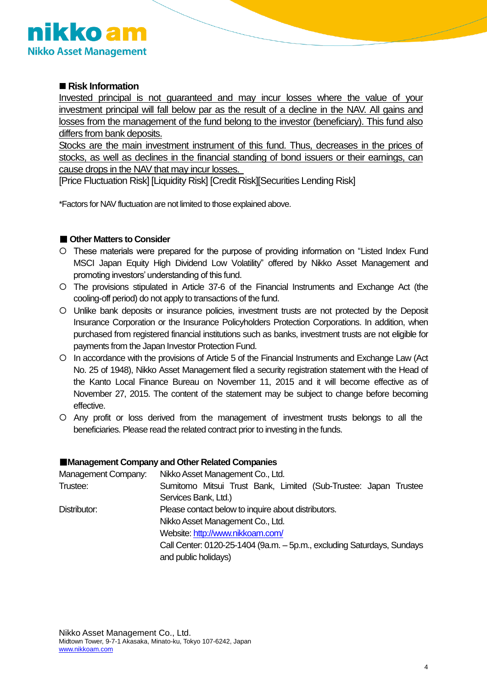

### ■ Risk Information

Invested principal is not guaranteed and may incur losses where the value of your investment principal will fall below par as the result of a decline in the NAV. All gains and losses from the management of the fund belong to the investor (beneficiary). This fund also differs from bank deposits.

Stocks are the main investment instrument of this fund. Thus, decreases in the prices of stocks, as well as declines in the financial standing of bond issuers or their earnings, can cause drops in the NAV that may incur losses.

[Price Fluctuation Risk] [Liquidity Risk] [Credit Risk][Securities Lending Risk]

\*Factors for NAV fluctuation are not limited to those explained above.

#### ■ Other Matters to Consider

- These materials were prepared for the purpose of providing information on "Listed Index Fund MSCI Japan Equity High Dividend Low Volatility" offered by Nikko Asset Management and promoting investors' understanding of this fund.
- The provisions stipulated in Article 37-6 of the Financial Instruments and Exchange Act (the cooling-off period) do not apply to transactions of the fund.
- Unlike bank deposits or insurance policies, investment trusts are not protected by the Deposit Insurance Corporation or the Insurance Policyholders Protection Corporations. In addition, when purchased from registered financial institutions such as banks, investment trusts are not eligible for payments from the Japan Investor Protection Fund.
- In accordance with the provisions of Article 5 of the Financial Instruments and Exchange Law (Act No. 25 of 1948), Nikko Asset Management filed a security registration statement with the Head of the Kanto Local Finance Bureau on November 11, 2015 and it will become effective as of November 27, 2015. The content of the statement may be subject to change before becoming effective.
- Any profit or loss derived from the management of investment trusts belongs to all the beneficiaries. Please read the related contract prior to investing in the funds.

#### ■**Management Company and Other Related Companies**

| Management Company: | Nikko Asset Management Co., Ltd.                                       |
|---------------------|------------------------------------------------------------------------|
| Trustee:            | Sumitomo Mitsui Trust Bank, Limited (Sub-Trustee: Japan Trustee        |
|                     | Services Bank, Ltd.)                                                   |
| Distributor:        | Please contact below to inquire about distributors.                    |
|                     | Nikko Asset Management Co., Ltd.                                       |
|                     | Website: http://www.nikkoam.com/                                       |
|                     | Call Center: 0120-25-1404 (9a.m. - 5p.m., excluding Saturdays, Sundays |
|                     | and public holidays)                                                   |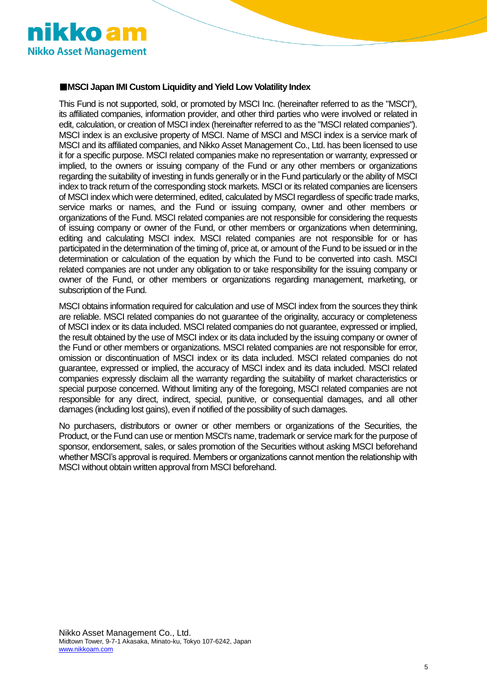

#### ■**MSCI Japan IMI Custom Liquidity and Yield Low Volatility Index**

This Fund is not supported, sold, or promoted by MSCI Inc. (hereinafter referred to as the "MSCI"), its affiliated companies, information provider, and other third parties who were involved or related in edit, calculation, or creation of MSCI index (hereinafter referred to as the "MSCI related companies"). MSCI index is an exclusive property of MSCI. Name of MSCI and MSCI index is a service mark of MSCI and its affiliated companies, and Nikko Asset Management Co., Ltd. has been licensed to use it for a specific purpose. MSCI related companies make no representation or warranty, expressed or implied, to the owners or issuing company of the Fund or any other members or organizations regarding the suitability of investing in funds generally or in the Fund particularly or the ability of MSCI index to track return of the corresponding stock markets. MSCI or its related companies are licensers of MSCI index which were determined, edited, calculated by MSCI regardless of specific trade marks, service marks or names, and the Fund or issuing company, owner and other members or organizations of the Fund. MSCI related companies are not responsible for considering the requests of issuing company or owner of the Fund, or other members or organizations when determining, editing and calculating MSCI index. MSCI related companies are not responsible for or has participated in the determination of the timing of, price at, or amount of the Fund to be issued or in the determination or calculation of the equation by which the Fund to be converted into cash. MSCI related companies are not under any obligation to or take responsibility for the issuing company or owner of the Fund, or other members or organizations regarding management, marketing, or subscription of the Fund.

MSCI obtains information required for calculation and use of MSCI index from the sources they think are reliable. MSCI related companies do not guarantee of the originality, accuracy or completeness of MSCI index or its data included. MSCI related companies do not guarantee, expressed or implied, the result obtained by the use of MSCI index or its data included by the issuing company or owner of the Fund or other members or organizations. MSCI related companies are not responsible for error, omission or discontinuation of MSCI index or its data included. MSCI related companies do not guarantee, expressed or implied, the accuracy of MSCI index and its data included. MSCI related companies expressly disclaim all the warranty regarding the suitability of market characteristics or special purpose concerned. Without limiting any of the foregoing, MSCI related companies are not responsible for any direct, indirect, special, punitive, or consequential damages, and all other damages (including lost gains), even if notified of the possibility of such damages.

No purchasers, distributors or owner or other members or organizations of the Securities, the Product, or the Fund can use or mention MSCI's name, trademark or service mark for the purpose of sponsor, endorsement, sales, or sales promotion of the Securities without asking MSCI beforehand whether MSCI's approval is required. Members or organizations cannot mention the relationship with MSCI without obtain written approval from MSCI beforehand.